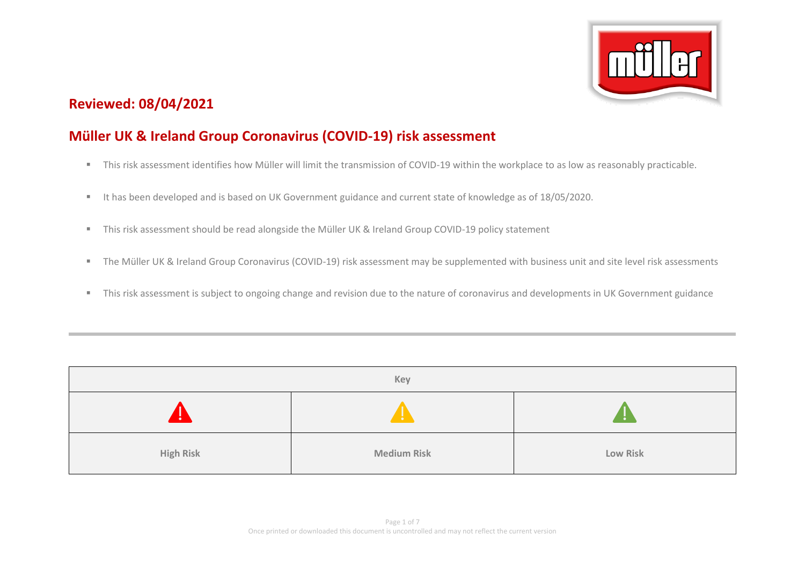

# **Reviewed: 08/04/2021**

# **Müller UK & Ireland Group Coronavirus (COVID-19) risk assessment**

- This risk assessment identifies how Müller will limit the transmission of COVID-19 within the workplace to as low as reasonably practicable.
- It has been developed and is based on UK Government guidance and current state of knowledge as of 18/05/2020.
- This risk assessment should be read alongside the Müller UK & Ireland Group COVID-19 policy statement
- The Müller UK & Ireland Group Coronavirus (COVID-19) risk assessment may be supplemented with business unit and site level risk assessments
- This risk assessment is subject to ongoing change and revision due to the nature of coronavirus and developments in UK Government guidance

| Key              |                    |          |  |  |  |
|------------------|--------------------|----------|--|--|--|
|                  | ÷                  |          |  |  |  |
| <b>High Risk</b> | <b>Medium Risk</b> | Low Risk |  |  |  |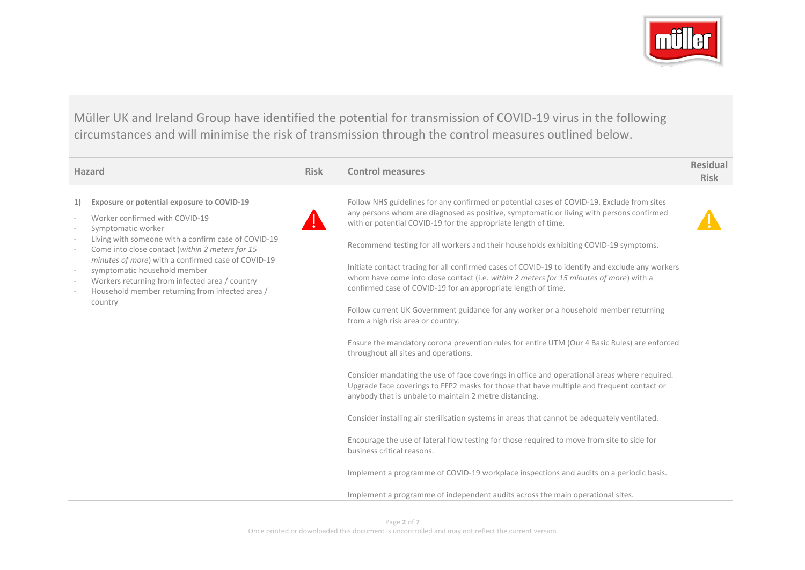

Müller UK and Ireland Group have identified the potential for transmission of COVID-19 virus in the following circumstances and will minimise the risk of transmission through the control measures outlined below.

| <b>Hazard</b> |                                                                                                                                                                                                                                                                                                                                                                    | <b>Risk</b>                                                                                                                                                                                | <b>Control measures</b>                                                                                                                                                                                                                                  | <b>Residual</b><br><b>Risk</b> |
|---------------|--------------------------------------------------------------------------------------------------------------------------------------------------------------------------------------------------------------------------------------------------------------------------------------------------------------------------------------------------------------------|--------------------------------------------------------------------------------------------------------------------------------------------------------------------------------------------|----------------------------------------------------------------------------------------------------------------------------------------------------------------------------------------------------------------------------------------------------------|--------------------------------|
| 1)            | Exposure or potential exposure to COVID-19<br>Worker confirmed with COVID-19<br>Symptomatic worker                                                                                                                                                                                                                                                                 |                                                                                                                                                                                            | Follow NHS guidelines for any confirmed or potential cases of COVID-19. Exclude from sites<br>any persons whom are diagnosed as positive, symptomatic or living with persons confirmed<br>with or potential COVID-19 for the appropriate length of time. |                                |
|               | Living with someone with a confirm case of COVID-19<br>Come into close contact (within 2 meters for 15<br>minutes of more) with a confirmed case of COVID-19<br>symptomatic household member<br>Workers returning from infected area / country<br>confirmed case of COVID-19 for an appropriate length of time.<br>Household member returning from infected area / |                                                                                                                                                                                            | Recommend testing for all workers and their households exhibiting COVID-19 symptoms.                                                                                                                                                                     |                                |
|               |                                                                                                                                                                                                                                                                                                                                                                    | Initiate contact tracing for all confirmed cases of COVID-19 to identify and exclude any workers<br>whom have come into close contact (i.e. within 2 meters for 15 minutes of more) with a |                                                                                                                                                                                                                                                          |                                |
|               | country                                                                                                                                                                                                                                                                                                                                                            | Follow current UK Government guidance for any worker or a household member returning<br>from a high risk area or country.                                                                  |                                                                                                                                                                                                                                                          |                                |
|               |                                                                                                                                                                                                                                                                                                                                                                    |                                                                                                                                                                                            | Ensure the mandatory corona prevention rules for entire UTM (Our 4 Basic Rules) are enforced<br>throughout all sites and operations.                                                                                                                     |                                |
|               |                                                                                                                                                                                                                                                                                                                                                                    |                                                                                                                                                                                            | Consider mandating the use of face coverings in office and operational areas where required.<br>Upgrade face coverings to FFP2 masks for those that have multiple and frequent contact or<br>anybody that is unbale to maintain 2 metre distancing.      |                                |
|               |                                                                                                                                                                                                                                                                                                                                                                    |                                                                                                                                                                                            | Consider installing air sterilisation systems in areas that cannot be adequately ventilated.                                                                                                                                                             |                                |
|               |                                                                                                                                                                                                                                                                                                                                                                    |                                                                                                                                                                                            | Encourage the use of lateral flow testing for those required to move from site to side for<br>business critical reasons.                                                                                                                                 |                                |
|               |                                                                                                                                                                                                                                                                                                                                                                    |                                                                                                                                                                                            | Implement a programme of COVID-19 workplace inspections and audits on a periodic basis.                                                                                                                                                                  |                                |
|               |                                                                                                                                                                                                                                                                                                                                                                    |                                                                                                                                                                                            | Implement a programme of independent audits across the main operational sites.                                                                                                                                                                           |                                |
|               |                                                                                                                                                                                                                                                                                                                                                                    |                                                                                                                                                                                            |                                                                                                                                                                                                                                                          |                                |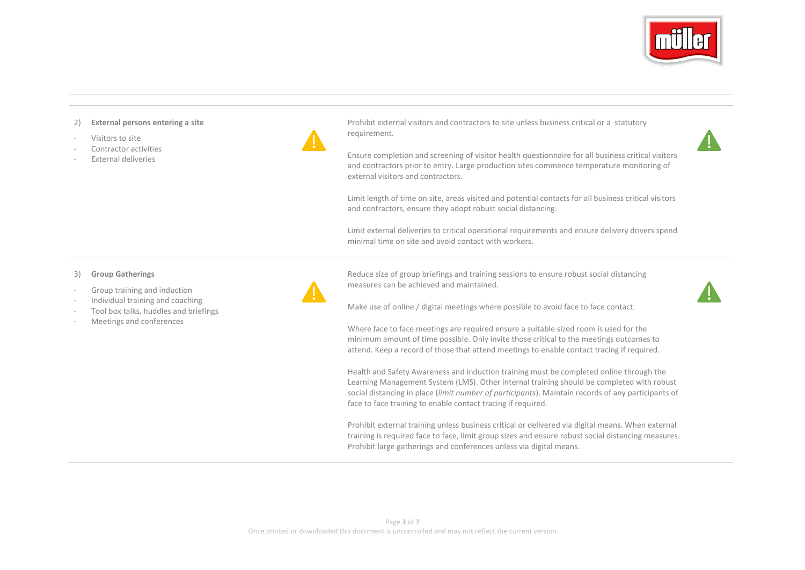

#### 2) **External persons entering a site**

- Visitors to site
- Contractor activities
- External deliveries

Prohibit external visitors and contractors to site unless business critical or a statutory requirement.

Ensure completion and screening of visitor health questionnaire for all business critical visitors and contractors prior to entry. Large production sites commence temperature monitoring of external visitors and contractors.

Limit length of time on site, areas visited and potential contacts for all business critical visitors and contractors, ensure they adopt robust social distancing.

Limit external deliveries to critical operational requirements and ensure delivery drivers spend minimal time on site and avoid contact with workers.

- 3) **Group Gatherings**
- Group training and induction
- Individual training and coaching
- Tool box talks, huddles and briefings
- Meetings and conferences



Make use of online / digital meetings where possible to avoid face to face contact.

measures can be achieved and maintained.

Reduce size of group briefings and training sessions to ensure robust social distancing

Where face to face meetings are required ensure a suitable sized room is used for the minimum amount of time possible. Only invite those critical to the meetings outcomes to attend. Keep a record of those that attend meetings to enable contact tracing if required.

Health and Safety Awareness and induction training must be completed online through the Learning Management System (LMS). Other internal training should be completed with robust social distancing in place (*limit number of participants*). Maintain records of any participants of face to face training to enable contact tracing if required.

Prohibit external training unless business critical or delivered via digital means. When external training is required face to face, limit group sizes and ensure robust social distancing measures. Prohibit large gatherings and conferences unless via digital means.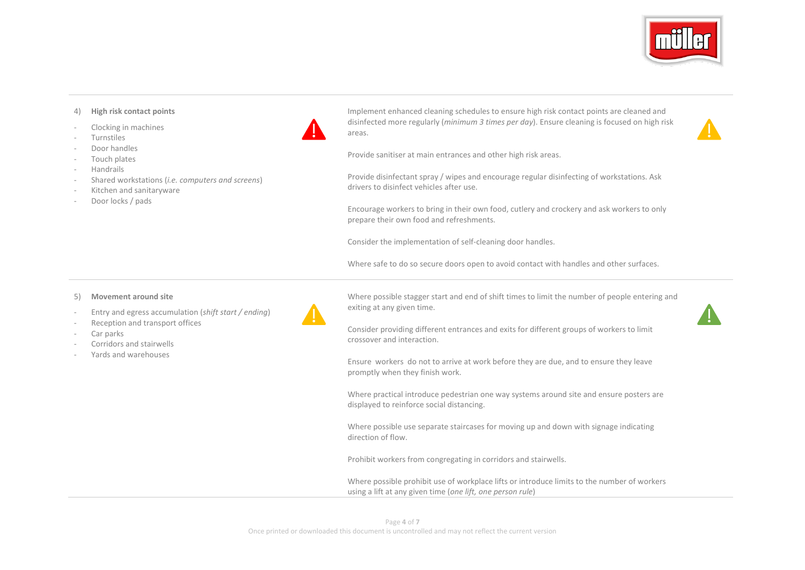

### 4) **High risk contact points**

- Clocking in machines
- **Turnstiles**
- Door handles
- Touch plates
- Handrails
- Shared workstations (*i.e. computers and screens*)
- Kitchen and sanitaryware
- Door locks / pads



Implement enhanced cleaning schedules to ensure high risk contact points are cleaned and disinfected more regularly (*minimum 3 times per day*). Ensure cleaning is focused on high risk areas.



Provide sanitiser at main entrances and other high risk areas.

Provide disinfectant spray / wipes and encourage regular disinfecting of workstations. Ask drivers to disinfect vehicles after use.

Encourage workers to bring in their own food, cutlery and crockery and ask workers to only prepare their own food and refreshments.

Consider the implementation of self-cleaning door handles.

Where safe to do so secure doors open to avoid contact with handles and other surfaces.

#### 5) **Movement around site**

- Entry and egress accumulation (*shift start / ending*)
- Reception and transport offices
- Car parks
- Corridors and stairwells
- Yards and warehouses



Where possible stagger start and end of shift times to limit the number of people entering and exiting at any given time.



Consider providing different entrances and exits for different groups of workers to limit crossover and interaction.

Ensure workers do not to arrive at work before they are due, and to ensure they leave promptly when they finish work.

Where practical introduce pedestrian one way systems around site and ensure posters are displayed to reinforce social distancing.

Where possible use separate staircases for moving up and down with signage indicating direction of flow.

Prohibit workers from congregating in corridors and stairwells.

Where possible prohibit use of workplace lifts or introduce limits to the number of workers using a lift at any given time (*one lift, one person rule*)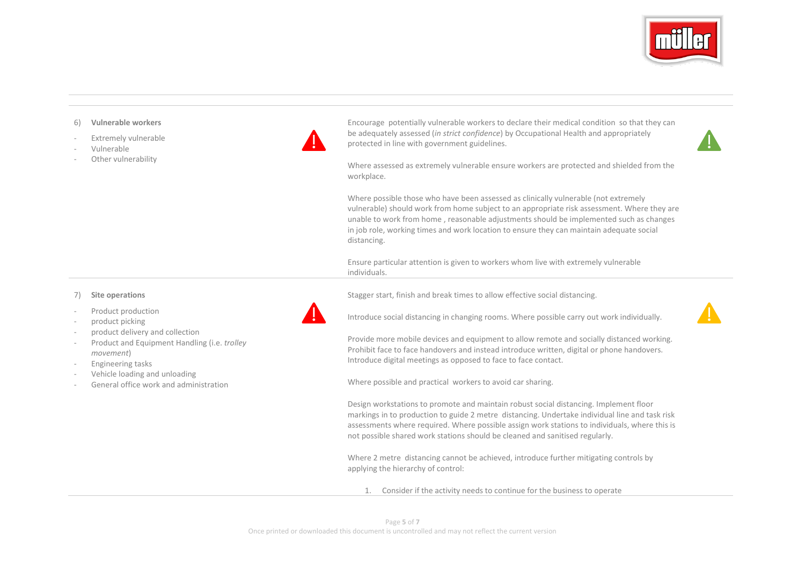

#### 6) **Vulnerable workers**

- Extremely vulnerable
- Vulnerable
- Other vulnerability



Encourage potentially vulnerable workers to declare their medical condition so that they can be adequately assessed (*in strict confidence*) by Occupational Health and appropriately protected in line with government guidelines.



Where assessed as extremely vulnerable ensure workers are protected and shielded from the workplace.

Where possible those who have been assessed as clinically vulnerable (not extremely vulnerable) should work from home subject to an appropriate risk assessment. Where they are unable to work from home , reasonable adjustments should be implemented such as changes in job role, working times and work location to ensure they can maintain adequate social distancing.

Ensure particular attention is given to workers whom live with extremely vulnerable individuals.

Stagger start, finish and break times to allow effective social distancing.



- Product production
- product picking
- product delivery and collection
- Product and Equipment Handling (i.e. *trolley movement*)
- Engineering tasks
- Vehicle loading and unloading
- General office work and administration



Introduce social distancing in changing rooms. Where possible carry out work individually.



Provide more mobile devices and equipment to allow remote and socially distanced working. Prohibit face to face handovers and instead introduce written, digital or phone handovers. Introduce digital meetings as opposed to face to face contact.

Where possible and practical workers to avoid car sharing.

Design workstations to promote and maintain robust social distancing. Implement floor markings in to production to guide 2 metre distancing. Undertake individual line and task risk assessments where required. Where possible assign work stations to individuals, where this is not possible shared work stations should be cleaned and sanitised regularly.

Where 2 metre distancing cannot be achieved, introduce further mitigating controls by applying the hierarchy of control:

1. Consider if the activity needs to continue for the business to operate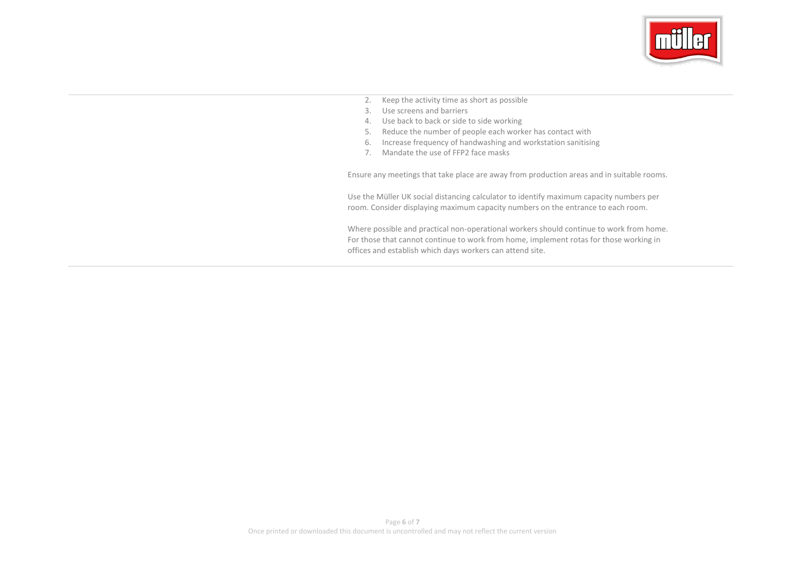

- 2. Keep the activity time as short as possible
- 3. Use screens and barriers
- 4. Use back to back or side to side working
- 5. Reduce the number of people each worker has contact with
- 6. Increase frequency of handwashing and workstation sanitising
- 7. Mandate the use of FFP2 face masks

Ensure any meetings that take place are away from production areas and in suitable rooms.

Use the Müller UK social distancing calculator to identify maximum capacity numbers per room. Consider displaying maximum capacity numbers on the entrance to each room.

Where possible and practical non-operational workers should continue to work from home. For those that cannot continue to work from home, implement rotas for those working in offices and establish which days workers can attend site.